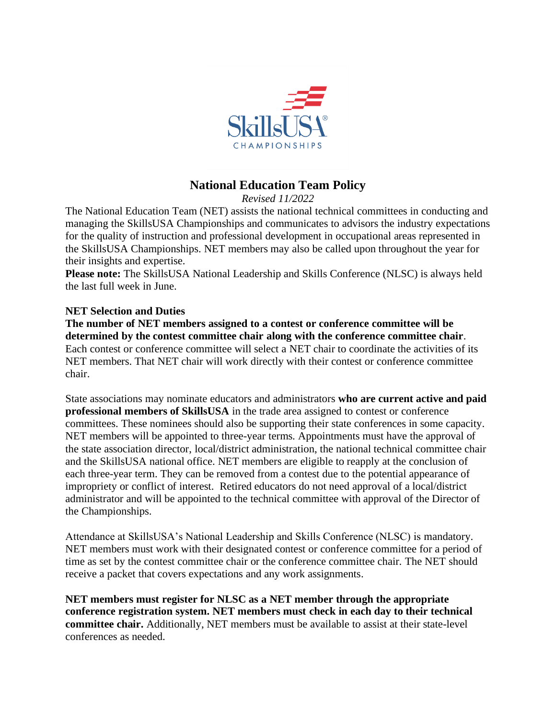

# **National Education Team Policy**

*Revised 11/2022*

The National Education Team (NET) assists the national technical committees in conducting and managing the SkillsUSA Championships and communicates to advisors the industry expectations for the quality of instruction and professional development in occupational areas represented in the SkillsUSA Championships. NET members may also be called upon throughout the year for their insights and expertise.

**Please note:** The SkillsUSA National Leadership and Skills Conference (NLSC) is always held the last full week in June.

# **NET Selection and Duties**

**The number of NET members assigned to a contest or conference committee will be determined by the contest committee chair along with the conference committee chair**. Each contest or conference committee will select a NET chair to coordinate the activities of its NET members. That NET chair will work directly with their contest or conference committee chair.

State associations may nominate educators and administrators **who are current active and paid professional members of SkillsUSA** in the trade area assigned to contest or conference committees. These nominees should also be supporting their state conferences in some capacity. NET members will be appointed to three-year terms. Appointments must have the approval of the state association director, local/district administration, the national technical committee chair and the SkillsUSA national office. NET members are eligible to reapply at the conclusion of each three-year term. They can be removed from a contest due to the potential appearance of impropriety or conflict of interest. Retired educators do not need approval of a local/district administrator and will be appointed to the technical committee with approval of the Director of the Championships.

Attendance at SkillsUSA's National Leadership and Skills Conference (NLSC) is mandatory. NET members must work with their designated contest or conference committee for a period of time as set by the contest committee chair or the conference committee chair. The NET should receive a packet that covers expectations and any work assignments.

**NET members must register for NLSC as a NET member through the appropriate conference registration system. NET members must check in each day to their technical committee chair.** Additionally, NET members must be available to assist at their state-level conferences as needed.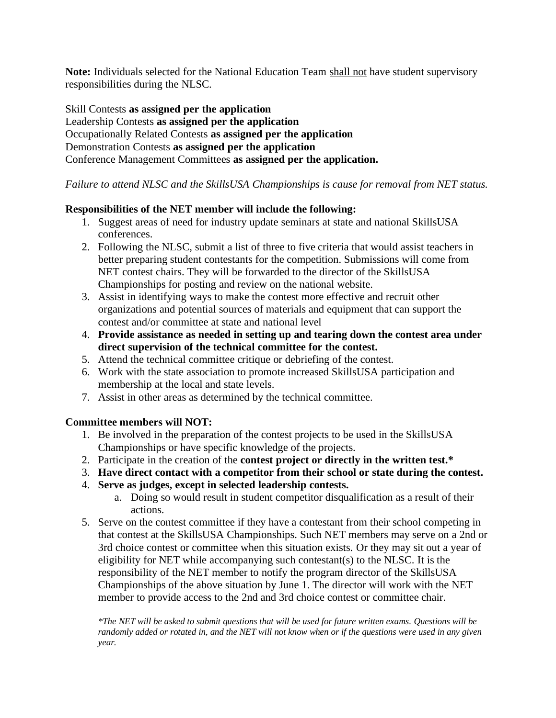**Note:** Individuals selected for the National Education Team shall not have student supervisory responsibilities during the NLSC.

Skill Contests **as assigned per the application** Leadership Contests **as assigned per the application** Occupationally Related Contests **as assigned per the application** Demonstration Contests **as assigned per the application** Conference Management Committees **as assigned per the application.**

## *Failure to attend NLSC and the SkillsUSA Championships is cause for removal from NET status.*

## **Responsibilities of the NET member will include the following:**

- 1. Suggest areas of need for industry update seminars at state and national SkillsUSA conferences.
- 2. Following the NLSC, submit a list of three to five criteria that would assist teachers in better preparing student contestants for the competition. Submissions will come from NET contest chairs. They will be forwarded to the director of the SkillsUSA Championships for posting and review on the national website.
- 3. Assist in identifying ways to make the contest more effective and recruit other organizations and potential sources of materials and equipment that can support the contest and/or committee at state and national level
- 4. **Provide assistance as needed in setting up and tearing down the contest area under direct supervision of the technical committee for the contest.**
- 5. Attend the technical committee critique or debriefing of the contest.
- 6. Work with the state association to promote increased SkillsUSA participation and membership at the local and state levels.
- 7. Assist in other areas as determined by the technical committee.

#### **Committee members will NOT:**

- 1. Be involved in the preparation of the contest projects to be used in the SkillsUSA Championships or have specific knowledge of the projects.
- 2. Participate in the creation of the **contest project or directly in the written test.\***
- 3. **Have direct contact with a competitor from their school or state during the contest.**
- 4. **Serve as judges, except in selected leadership contests.**
	- a. Doing so would result in student competitor disqualification as a result of their actions.
- 5. Serve on the contest committee if they have a contestant from their school competing in that contest at the SkillsUSA Championships. Such NET members may serve on a 2nd or 3rd choice contest or committee when this situation exists. Or they may sit out a year of eligibility for NET while accompanying such contestant(s) to the NLSC. It is the responsibility of the NET member to notify the program director of the SkillsUSA Championships of the above situation by June 1. The director will work with the NET member to provide access to the 2nd and 3rd choice contest or committee chair.

*\*The NET will be asked to submit questions that will be used for future written exams. Questions will be randomly added or rotated in, and the NET will not know when or if the questions were used in any given year.*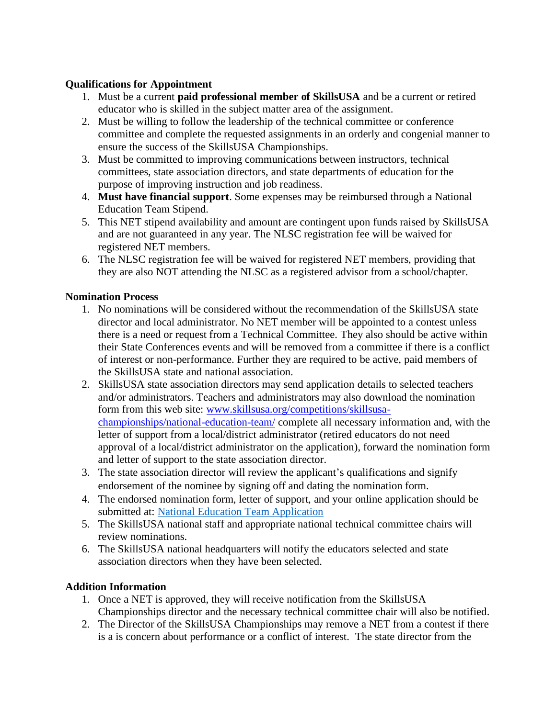# **Qualifications for Appointment**

- 1. Must be a current **paid professional member of SkillsUSA** and be a current or retired educator who is skilled in the subject matter area of the assignment.
- 2. Must be willing to follow the leadership of the technical committee or conference committee and complete the requested assignments in an orderly and congenial manner to ensure the success of the SkillsUSA Championships.
- 3. Must be committed to improving communications between instructors, technical committees, state association directors, and state departments of education for the purpose of improving instruction and job readiness.
- 4. **Must have financial support**. Some expenses may be reimbursed through a National Education Team Stipend.
- 5. This NET stipend availability and amount are contingent upon funds raised by SkillsUSA and are not guaranteed in any year. The NLSC registration fee will be waived for registered NET members.
- 6. The NLSC registration fee will be waived for registered NET members, providing that they are also NOT attending the NLSC as a registered advisor from a school/chapter.

# **Nomination Process**

- 1. No nominations will be considered without the recommendation of the SkillsUSA state director and local administrator. No NET member will be appointed to a contest unless there is a need or request from a Technical Committee. They also should be active within their State Conferences events and will be removed from a committee if there is a conflict of interest or non-performance. Further they are required to be active, paid members of the SkillsUSA state and national association.
- 2. SkillsUSA state association directors may send application details to selected teachers and/or administrators. Teachers and administrators may also download the nomination form from this web site: [www.skillsusa.org/competitions/skillsusa](https://www.skillsusa.org/competitions/skillsusa-championships/national-education-team/)[championships/national-education-team/](https://www.skillsusa.org/competitions/skillsusa-championships/national-education-team/) complete all necessary information and, with the letter of support from a local/district administrator (retired educators do not need approval of a local/district administrator on the application), forward the nomination form and letter of support to the state association director.
- 3. The state association director will review the applicant's qualifications and signify endorsement of the nominee by signing off and dating the nomination form.
- 4. The endorsed nomination form, letter of support, and your online application should be submitted at: [National Education Team Application](https://app.smartsheet.com/b/form/39be38d99bd046439ec965fc9573bc33)
- 5. The SkillsUSA national staff and appropriate national technical committee chairs will review nominations.
- 6. The SkillsUSA national headquarters will notify the educators selected and state association directors when they have been selected.

# **Addition Information**

- 1. Once a NET is approved, they will receive notification from the SkillsUSA Championships director and the necessary technical committee chair will also be notified.
- 2. The Director of the SkillsUSA Championships may remove a NET from a contest if there is a is concern about performance or a conflict of interest. The state director from the